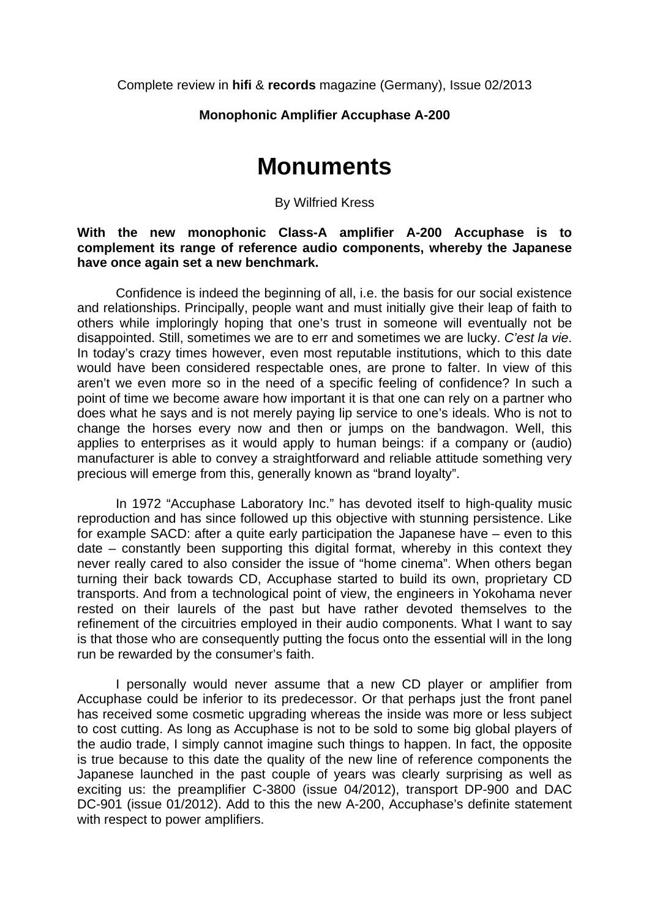Complete review in **hifi** & **records** magazine (Germany), Issue 02/2013

## **Monophonic Amplifier Accuphase A-200**

# **Monuments**

#### By Wilfried Kress

### **With the new monophonic Class-A amplifier A-200 Accuphase is to complement its range of reference audio components, whereby the Japanese have once again set a new benchmark.**

Confidence is indeed the beginning of all, i.e. the basis for our social existence and relationships. Principally, people want and must initially give their leap of faith to others while imploringly hoping that one's trust in someone will eventually not be disappointed. Still, sometimes we are to err and sometimes we are lucky. *C'est la vie*. In today's crazy times however, even most reputable institutions, which to this date would have been considered respectable ones, are prone to falter. In view of this aren't we even more so in the need of a specific feeling of confidence? In such a point of time we become aware how important it is that one can rely on a partner who does what he says and is not merely paying lip service to one's ideals. Who is not to change the horses every now and then or jumps on the bandwagon. Well, this applies to enterprises as it would apply to human beings: if a company or (audio) manufacturer is able to convey a straightforward and reliable attitude something very precious will emerge from this, generally known as "brand loyalty".

In 1972 "Accuphase Laboratory Inc." has devoted itself to high-quality music reproduction and has since followed up this objective with stunning persistence. Like for example SACD: after a quite early participation the Japanese have – even to this date – constantly been supporting this digital format, whereby in this context they never really cared to also consider the issue of "home cinema". When others began turning their back towards CD, Accuphase started to build its own, proprietary CD transports. And from a technological point of view, the engineers in Yokohama never rested on their laurels of the past but have rather devoted themselves to the refinement of the circuitries employed in their audio components. What I want to say is that those who are consequently putting the focus onto the essential will in the long run be rewarded by the consumer's faith.

I personally would never assume that a new CD player or amplifier from Accuphase could be inferior to its predecessor. Or that perhaps just the front panel has received some cosmetic upgrading whereas the inside was more or less subject to cost cutting. As long as Accuphase is not to be sold to some big global players of the audio trade, I simply cannot imagine such things to happen. In fact, the opposite is true because to this date the quality of the new line of reference components the Japanese launched in the past couple of years was clearly surprising as well as exciting us: the preamplifier C-3800 (issue 04/2012), transport DP-900 and DAC DC-901 (issue 01/2012). Add to this the new A-200, Accuphase's definite statement with respect to power amplifiers.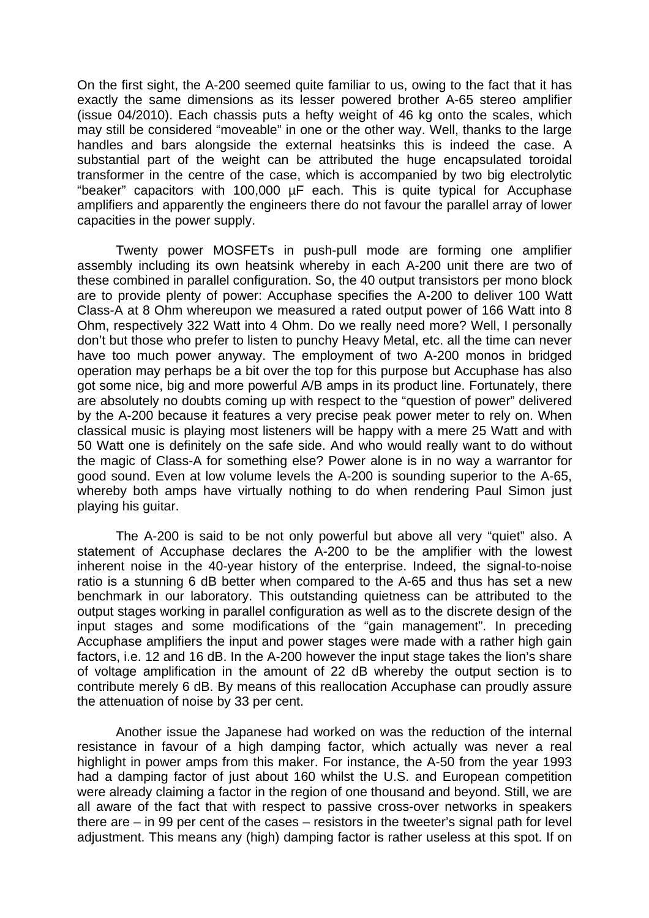On the first sight, the A-200 seemed quite familiar to us, owing to the fact that it has exactly the same dimensions as its lesser powered brother A-65 stereo amplifier (issue 04/2010). Each chassis puts a hefty weight of 46 kg onto the scales, which may still be considered "moveable" in one or the other way. Well, thanks to the large handles and bars alongside the external heatsinks this is indeed the case. A substantial part of the weight can be attributed the huge encapsulated toroidal transformer in the centre of the case, which is accompanied by two big electrolytic "beaker" capacitors with 100,000 µF each. This is quite typical for Accuphase amplifiers and apparently the engineers there do not favour the parallel array of lower capacities in the power supply.

Twenty power MOSFETs in push-pull mode are forming one amplifier assembly including its own heatsink whereby in each A-200 unit there are two of these combined in parallel configuration. So, the 40 output transistors per mono block are to provide plenty of power: Accuphase specifies the A-200 to deliver 100 Watt Class-A at 8 Ohm whereupon we measured a rated output power of 166 Watt into 8 Ohm, respectively 322 Watt into 4 Ohm. Do we really need more? Well, I personally don't but those who prefer to listen to punchy Heavy Metal, etc. all the time can never have too much power anyway. The employment of two A-200 monos in bridged operation may perhaps be a bit over the top for this purpose but Accuphase has also got some nice, big and more powerful A/B amps in its product line. Fortunately, there are absolutely no doubts coming up with respect to the "question of power" delivered by the A-200 because it features a very precise peak power meter to rely on. When classical music is playing most listeners will be happy with a mere 25 Watt and with 50 Watt one is definitely on the safe side. And who would really want to do without the magic of Class-A for something else? Power alone is in no way a warrantor for good sound. Even at low volume levels the A-200 is sounding superior to the A-65, whereby both amps have virtually nothing to do when rendering Paul Simon just playing his guitar.

The A-200 is said to be not only powerful but above all very "quiet" also. A statement of Accuphase declares the A-200 to be the amplifier with the lowest inherent noise in the 40-year history of the enterprise. Indeed, the signal-to-noise ratio is a stunning 6 dB better when compared to the A-65 and thus has set a new benchmark in our laboratory. This outstanding quietness can be attributed to the output stages working in parallel configuration as well as to the discrete design of the input stages and some modifications of the "gain management". In preceding Accuphase amplifiers the input and power stages were made with a rather high gain factors, i.e. 12 and 16 dB. In the A-200 however the input stage takes the lion's share of voltage amplification in the amount of 22 dB whereby the output section is to contribute merely 6 dB. By means of this reallocation Accuphase can proudly assure the attenuation of noise by 33 per cent.

Another issue the Japanese had worked on was the reduction of the internal resistance in favour of a high damping factor, which actually was never a real highlight in power amps from this maker. For instance, the A-50 from the year 1993 had a damping factor of just about 160 whilst the U.S. and European competition were already claiming a factor in the region of one thousand and beyond. Still, we are all aware of the fact that with respect to passive cross-over networks in speakers there are – in 99 per cent of the cases – resistors in the tweeter's signal path for level adjustment. This means any (high) damping factor is rather useless at this spot. If on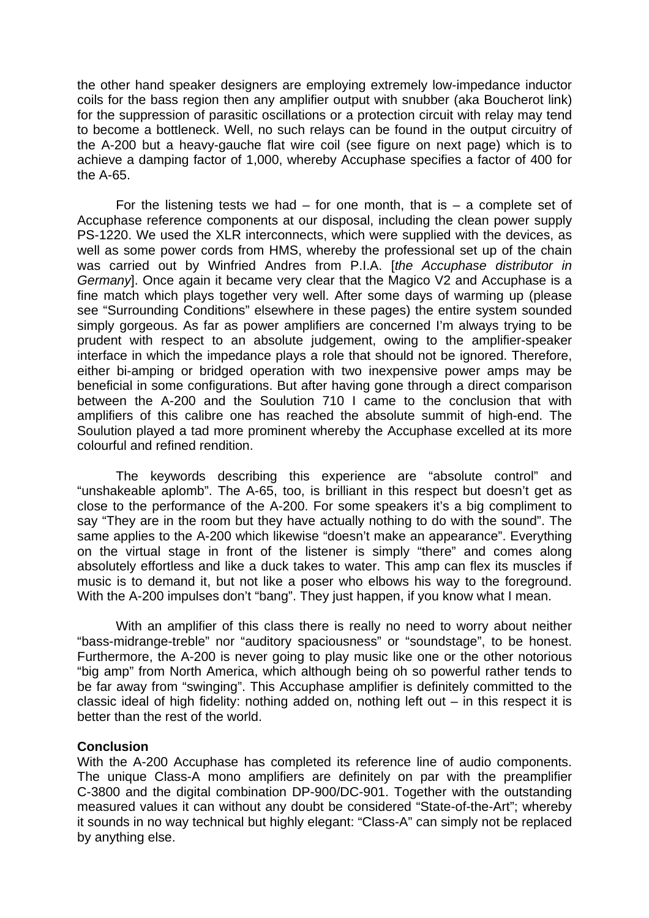the other hand speaker designers are employing extremely low-impedance inductor coils for the bass region then any amplifier output with snubber (aka Boucherot link) for the suppression of parasitic oscillations or a protection circuit with relay may tend to become a bottleneck. Well, no such relays can be found in the output circuitry of the A-200 but a heavy-gauche flat wire coil (see figure on next page) which is to achieve a damping factor of 1,000, whereby Accuphase specifies a factor of 400 for the A-65.

For the listening tests we had  $-$  for one month, that is  $-$  a complete set of Accuphase reference components at our disposal, including the clean power supply PS-1220. We used the XLR interconnects, which were supplied with the devices, as well as some power cords from HMS, whereby the professional set up of the chain was carried out by Winfried Andres from P.I.A. [*the Accuphase distributor in Germany*]. Once again it became very clear that the Magico V2 and Accuphase is a fine match which plays together very well. After some days of warming up (please see "Surrounding Conditions" elsewhere in these pages) the entire system sounded simply gorgeous. As far as power amplifiers are concerned I'm always trying to be prudent with respect to an absolute judgement, owing to the amplifier-speaker interface in which the impedance plays a role that should not be ignored. Therefore, either bi-amping or bridged operation with two inexpensive power amps may be beneficial in some configurations. But after having gone through a direct comparison between the A-200 and the Soulution 710 I came to the conclusion that with amplifiers of this calibre one has reached the absolute summit of high-end. The Soulution played a tad more prominent whereby the Accuphase excelled at its more colourful and refined rendition.

The keywords describing this experience are "absolute control" and "unshakeable aplomb". The A-65, too, is brilliant in this respect but doesn't get as close to the performance of the A-200. For some speakers it's a big compliment to say "They are in the room but they have actually nothing to do with the sound". The same applies to the A-200 which likewise "doesn't make an appearance". Everything on the virtual stage in front of the listener is simply "there" and comes along absolutely effortless and like a duck takes to water. This amp can flex its muscles if music is to demand it, but not like a poser who elbows his way to the foreground. With the A-200 impulses don't "bang". They just happen, if you know what I mean.

With an amplifier of this class there is really no need to worry about neither "bass-midrange-treble" nor "auditory spaciousness" or "soundstage", to be honest. Furthermore, the A-200 is never going to play music like one or the other notorious "big amp" from North America, which although being oh so powerful rather tends to be far away from "swinging". This Accuphase amplifier is definitely committed to the classic ideal of high fidelity: nothing added on, nothing left out – in this respect it is better than the rest of the world.

## **Conclusion**

With the A-200 Accuphase has completed its reference line of audio components. The unique Class-A mono amplifiers are definitely on par with the preamplifier C-3800 and the digital combination DP-900/DC-901. Together with the outstanding measured values it can without any doubt be considered "State-of-the-Art"; whereby it sounds in no way technical but highly elegant: "Class-A" can simply not be replaced by anything else.